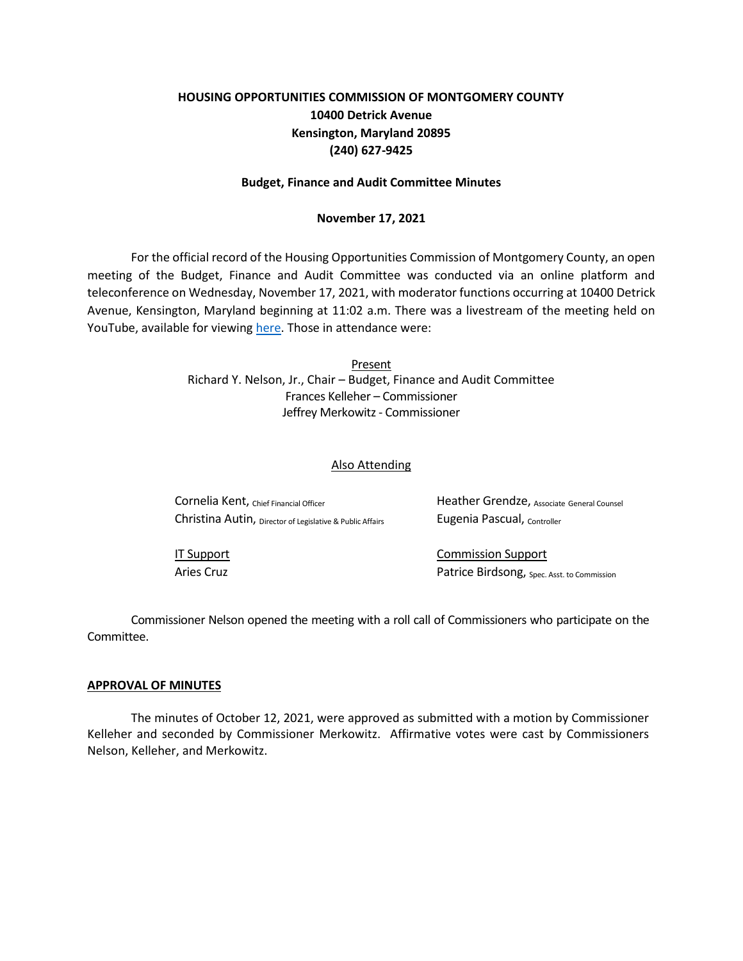# **HOUSING OPPORTUNITIES COMMISSION OF MONTGOMERY COUNTY 10400 Detrick Avenue Kensington, Maryland 20895 (240) 627-9425**

## **Budget, Finance and Audit Committee Minutes**

## **November 17, 2021**

For the official record of the Housing Opportunities Commission of Montgomery County, an open meeting of the Budget, Finance and Audit Committee was conducted via an online platform and teleconference on Wednesday, November 17, 2021, with moderator functions occurring at 10400 Detrick Avenue, Kensington, Maryland beginning at 11:02 a.m. There was a livestream of the meeting held on YouTube, available for viewing [here.](https://youtu.be/ZpruBI_e_U4) Those in attendance were:

> Present Richard Y. Nelson, Jr., Chair – Budget, Finance and Audit Committee Frances Kelleher – Commissioner Jeffrey Merkowitz - Commissioner

#### Also Attending

| Cornelia Kent, Chief Financial Officer                    | Heather Grendze, Associate General Counsel |
|-----------------------------------------------------------|--------------------------------------------|
| Christina Autin, Director of Legislative & Public Affairs | Eugenia Pascual, Controller                |
|                                                           |                                            |
| IT Support                                                | <b>Commission Support</b>                  |

Aries Cruz **Patrice Birdsong**, <sub>Spec. Asst. to Commission</sub>

Commissioner Nelson opened the meeting with a roll call of Commissioners who participate on the Committee.

#### **APPROVAL OF MINUTES**

The minutes of October 12, 2021, were approved as submitted with a motion by Commissioner Kelleher and seconded by Commissioner Merkowitz. Affirmative votes were cast by Commissioners Nelson, Kelleher, and Merkowitz.